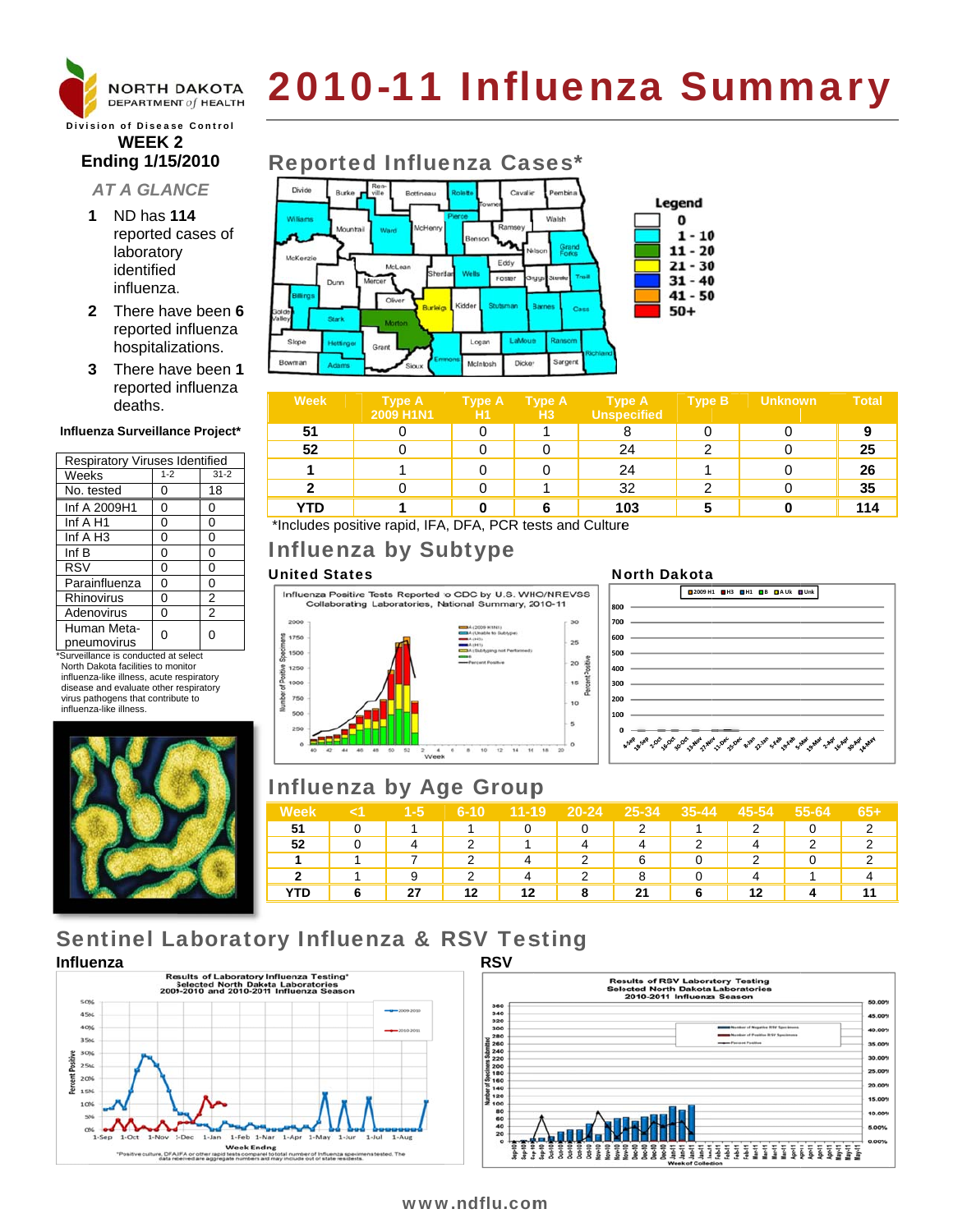

# 2010-11 Influenza Summary

**Division of Disease Control WEEK2 Ending 1/15/2010** 

- **AT A GLANCE**
- 1 ND has 114 reported cases of laboratory identified influenza.
- 2 There have been 6 reported influenza hospitalizations.
- 3 There have been 1 reported influenza deaths.

#### Influenza Surveillance Project\*

| <b>Respiratory Viruses Identified</b> |         |                |  |  |  |  |
|---------------------------------------|---------|----------------|--|--|--|--|
| Weeks                                 | $1 - 2$ | $31 - 2$       |  |  |  |  |
| No. tested                            | 0       | 18             |  |  |  |  |
| Inf A 2009H1                          | 0       | 0              |  |  |  |  |
| Inf A H1                              | 0       | 0              |  |  |  |  |
| Inf $A$ H <sub>3</sub>                | 0       | 0              |  |  |  |  |
| Inf B                                 | 0       | 0              |  |  |  |  |
| <b>RSV</b>                            | 0       | 0              |  |  |  |  |
| Parainfluenza                         | 0       | 0              |  |  |  |  |
| Rhinovirus                            | 0       | 2              |  |  |  |  |
| Adenovirus                            | 0       | $\overline{2}$ |  |  |  |  |
| Human Meta-<br>pneumovirus            | ი       | 0              |  |  |  |  |

\*Surveillance is conducted at select North Dakota facilities to monitor influenza-like illness, acute respiratory disease and evaluate other respiratory virus pathogens that contribute to influenza-like illness.





| Week | <b>Type A</b><br><b>2009 H1N1</b> | <b>Type A</b><br>H1 | Type A<br>H <sub>3</sub> | <b>Type A</b><br><b>Unspecified</b> | <b>Type B</b> | <b>Unknown</b> | <b>Total</b> |
|------|-----------------------------------|---------------------|--------------------------|-------------------------------------|---------------|----------------|--------------|
| 51   |                                   |                     |                          |                                     |               |                |              |
| 52   |                                   |                     |                          | 24                                  |               |                | 25           |
|      |                                   |                     |                          | 24                                  |               |                | 26           |
| ◠    |                                   |                     |                          | 32                                  | ົ             |                | 35           |
| YTD  |                                   |                     |                          | 103                                 | 5             |                | 114          |

\*Includes positive rapid, IFA, DFA, PCR tests and Culture

# **Influenza by Subtype**

#### **United States**



# **North Dakota**



## **Influenza by Age Group**

| Week |   | 1-5 | 6-10 | $11 - 19$ | $20 - 24$ | 25-34 | $35 - 44$ | 45-54 | 55-64 | 65+ |
|------|---|-----|------|-----------|-----------|-------|-----------|-------|-------|-----|
| 51   | 0 |     |      |           |           | 2     |           |       |       |     |
| 52   | 0 |     |      |           |           |       |           |       |       |     |
| и    |   |     |      | 4         | 2         | 6     |           | າ     |       |     |
| າ    |   |     | っ    | 4         | っ         | 8     |           |       |       |     |
| YTD  |   | 27  | 12   | 12        | 8         | 21    | 6         | 12    |       |     |

# **Sentinel Laboratory Influenza & RSV Testing**





#### www.ndflu.com